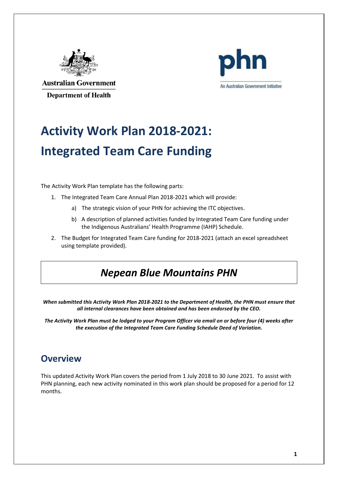

**Australian Government Department of Health** 



# **Activity Work Plan 2018-2021: Integrated Team Care Funding**

The Activity Work Plan template has the following parts:

- 1. The Integrated Team Care Annual Plan 2018-2021 which will provide:
	- a) The strategic vision of your PHN for achieving the ITC objectives.
	- b) A description of planned activities funded by Integrated Team Care funding under the Indigenous Australians' Health Programme (IAHP) Schedule.
- 2. The Budget for Integrated Team Care funding for 2018-2021 (attach an excel spreadsheet using template provided).

## *Nepean Blue Mountains PHN*

*When submitted this Activity Work Plan 2018-2021 to the Department of Health, the PHN must ensure that all internal clearances have been obtained and has been endorsed by the CEO.*

*The Activity Work Plan must be lodged to your Program Officer via email on or before four (4) weeks after the execution of the Integrated Team Care Funding Schedule Deed of Variation.*

#### **Overview**

This updated Activity Work Plan covers the period from 1 July 2018 to 30 June 2021. To assist with PHN planning, each new activity nominated in this work plan should be proposed for a period for 12 months.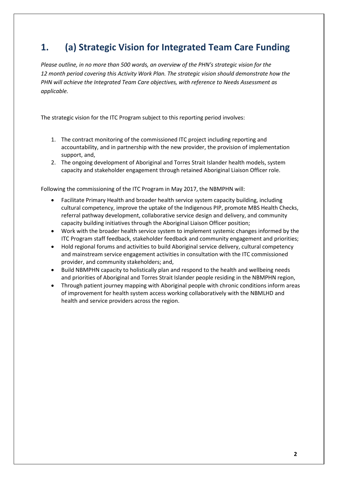## **1. (a) Strategic Vision for Integrated Team Care Funding**

*Please outline, in no more than 500 words, an overview of the PHN's strategic vision for the 12 month period covering this Activity Work Plan. The strategic vision should demonstrate how the PHN will achieve the Integrated Team Care objectives, with reference to Needs Assessment as applicable.*

The strategic vision for the ITC Program subject to this reporting period involves:

- 1. The contract monitoring of the commissioned ITC project including reporting and accountability, and in partnership with the new provider, the provision of implementation support, and,
- 2. The ongoing development of Aboriginal and Torres Strait Islander health models, system capacity and stakeholder engagement through retained Aboriginal Liaison Officer role.

Following the commissioning of the ITC Program in May 2017, the NBMPHN will:

- Facilitate Primary Health and broader health service system capacity building, including cultural competency, improve the uptake of the Indigenous PIP, promote MBS Health Checks, referral pathway development, collaborative service design and delivery, and community capacity building initiatives through the Aboriginal Liaison Officer position;
- Work with the broader health service system to implement systemic changes informed by the ITC Program staff feedback, stakeholder feedback and community engagement and priorities;
- Hold regional forums and activities to build Aboriginal service delivery, cultural competency and mainstream service engagement activities in consultation with the ITC commissioned provider, and community stakeholders; and,
- Build NBMPHN capacity to holistically plan and respond to the health and wellbeing needs and priorities of Aboriginal and Torres Strait Islander people residing in the NBMPHN region,
- Through patient journey mapping with Aboriginal people with chronic conditions inform areas of improvement for health system access working collaboratively with the NBMLHD and health and service providers across the region.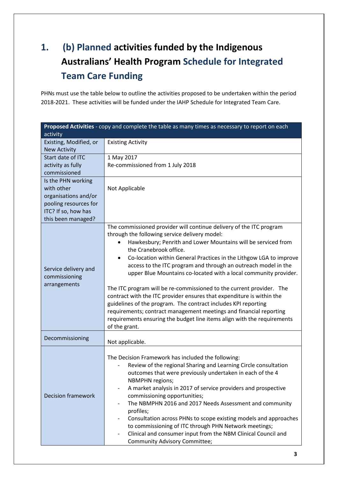# **1. (b) Planned activities funded by the Indigenous Australians' Health Program Schedule for Integrated Team Care Funding**

PHNs must use the table below to outline the activities proposed to be undertaken within the period 2018-2021. These activities will be funded under the IAHP Schedule for Integrated Team Care.

| Proposed Activities - copy and complete the table as many times as necessary to report on each |                                                                                                                                               |  |
|------------------------------------------------------------------------------------------------|-----------------------------------------------------------------------------------------------------------------------------------------------|--|
| activity<br>Existing, Modified, or                                                             | <b>Existing Activity</b>                                                                                                                      |  |
| <b>New Activity</b>                                                                            |                                                                                                                                               |  |
| Start date of ITC                                                                              | 1 May 2017                                                                                                                                    |  |
| activity as fully                                                                              | Re-commissioned from 1 July 2018                                                                                                              |  |
| commissioned                                                                                   |                                                                                                                                               |  |
| Is the PHN working                                                                             |                                                                                                                                               |  |
| with other                                                                                     | Not Applicable                                                                                                                                |  |
| organisations and/or                                                                           |                                                                                                                                               |  |
| pooling resources for                                                                          |                                                                                                                                               |  |
| ITC? If so, how has<br>this been managed?                                                      |                                                                                                                                               |  |
|                                                                                                | The commissioned provider will continue delivery of the ITC program                                                                           |  |
|                                                                                                | through the following service delivery model:                                                                                                 |  |
|                                                                                                | Hawkesbury; Penrith and Lower Mountains will be serviced from<br>$\bullet$<br>the Cranebrook office.                                          |  |
|                                                                                                | Co-location within General Practices in the Lithgow LGA to improve<br>$\bullet$                                                               |  |
|                                                                                                | access to the ITC program and through an outreach model in the                                                                                |  |
| Service delivery and<br>commissioning<br>arrangements                                          | upper Blue Mountains co-located with a local community provider.                                                                              |  |
|                                                                                                | The ITC program will be re-commissioned to the current provider. The<br>contract with the ITC provider ensures that expenditure is within the |  |
|                                                                                                | guidelines of the program. The contract includes KPI reporting                                                                                |  |
|                                                                                                | requirements; contract management meetings and financial reporting                                                                            |  |
|                                                                                                | requirements ensuring the budget line items align with the requirements                                                                       |  |
|                                                                                                | of the grant.                                                                                                                                 |  |
| Decommissioning                                                                                | Not applicable.                                                                                                                               |  |
|                                                                                                |                                                                                                                                               |  |
|                                                                                                | The Decision Framework has included the following:                                                                                            |  |
|                                                                                                | Review of the regional Sharing and Learning Circle consultation                                                                               |  |
|                                                                                                | outcomes that were previously undertaken in each of the 4<br><b>NBMPHN</b> regions;                                                           |  |
|                                                                                                | A market analysis in 2017 of service providers and prospective                                                                                |  |
| <b>Decision framework</b>                                                                      | commissioning opportunities;                                                                                                                  |  |
|                                                                                                | The NBMPHN 2016 and 2017 Needs Assessment and community<br>$\overline{\phantom{0}}$                                                           |  |
|                                                                                                | profiles;                                                                                                                                     |  |
|                                                                                                | Consultation across PHNs to scope existing models and approaches                                                                              |  |
|                                                                                                | to commissioning of ITC through PHN Network meetings;                                                                                         |  |
|                                                                                                | Clinical and consumer input from the NBM Clinical Council and<br>$\overline{\phantom{a}}$                                                     |  |
|                                                                                                | Community Advisory Committee;                                                                                                                 |  |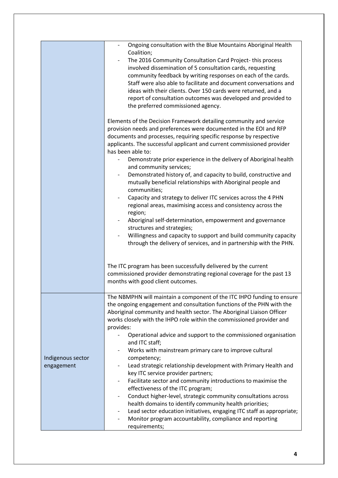|                                 | Ongoing consultation with the Blue Mountains Aboriginal Health<br>Coalition;<br>The 2016 Community Consultation Card Project-this process<br>involved dissemination of 5 consultation cards, requesting<br>community feedback by writing responses on each of the cards.<br>Staff were also able to facilitate and document conversations and<br>ideas with their clients. Over 150 cards were returned, and a<br>report of consultation outcomes was developed and provided to<br>the preferred commissioned agency.<br>Elements of the Decision Framework detailing community and service<br>provision needs and preferences were documented in the EOI and RFP<br>documents and processes, requiring specific response by respective<br>applicants. The successful applicant and current commissioned provider<br>has been able to:<br>Demonstrate prior experience in the delivery of Aboriginal health<br>and community services;<br>Demonstrated history of, and capacity to build, constructive and<br>mutually beneficial relationships with Aboriginal people and<br>communities;<br>Capacity and strategy to deliver ITC services across the 4 PHN<br>$\overline{\phantom{a}}$<br>regional areas, maximising access and consistency across the<br>region;<br>Aboriginal self-determination, empowerment and governance<br>structures and strategies;<br>Willingness and capacity to support and build community capacity<br>through the delivery of services, and in partnership with the PHN.<br>The ITC program has been successfully delivered by the current |
|---------------------------------|----------------------------------------------------------------------------------------------------------------------------------------------------------------------------------------------------------------------------------------------------------------------------------------------------------------------------------------------------------------------------------------------------------------------------------------------------------------------------------------------------------------------------------------------------------------------------------------------------------------------------------------------------------------------------------------------------------------------------------------------------------------------------------------------------------------------------------------------------------------------------------------------------------------------------------------------------------------------------------------------------------------------------------------------------------------------------------------------------------------------------------------------------------------------------------------------------------------------------------------------------------------------------------------------------------------------------------------------------------------------------------------------------------------------------------------------------------------------------------------------------------------------------------------------------------------------------|
|                                 | commissioned provider demonstrating regional coverage for the past 13<br>months with good client outcomes.                                                                                                                                                                                                                                                                                                                                                                                                                                                                                                                                                                                                                                                                                                                                                                                                                                                                                                                                                                                                                                                                                                                                                                                                                                                                                                                                                                                                                                                                 |
|                                 |                                                                                                                                                                                                                                                                                                                                                                                                                                                                                                                                                                                                                                                                                                                                                                                                                                                                                                                                                                                                                                                                                                                                                                                                                                                                                                                                                                                                                                                                                                                                                                            |
| Indigenous sector<br>engagement | The NBMPHN will maintain a component of the ITC IHPO funding to ensure<br>the ongoing engagement and consultation functions of the PHN with the<br>Aboriginal community and health sector. The Aboriginal Liaison Officer<br>works closely with the IHPO role within the commissioned provider and<br>provides:<br>Operational advice and support to the commissioned organisation<br>and ITC staff;<br>Works with mainstream primary care to improve cultural<br>competency;<br>Lead strategic relationship development with Primary Health and<br>key ITC service provider partners;<br>Facilitate sector and community introductions to maximise the<br>effectiveness of the ITC program;<br>Conduct higher-level, strategic community consultations across<br>health domains to identify community health priorities;<br>Lead sector education initiatives, engaging ITC staff as appropriate;<br>Monitor program accountability, compliance and reporting<br>requirements;                                                                                                                                                                                                                                                                                                                                                                                                                                                                                                                                                                                            |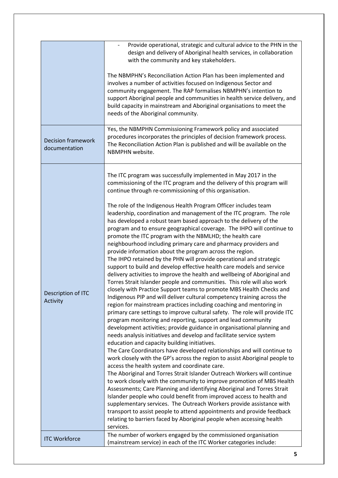|                                            | Provide operational, strategic and cultural advice to the PHN in the<br>design and delivery of Aboriginal health services, in collaboration<br>with the community and key stakeholders.<br>The NBMPHN's Reconciliation Action Plan has been implemented and<br>involves a number of activities focused on Indigenous Sector and<br>community engagement. The RAP formalises NBMPHN's intention to<br>support Aboriginal people and communities in health service delivery, and<br>build capacity in mainstream and Aboriginal organisations to meet the<br>needs of the Aboriginal community.<br>Yes, the NBMPHN Commissioning Framework policy and associated                                                                                                                                                                                                                                                                                                                                                                                                                                                                                                                                                                                                                                                                                                                                                                                                                                                                                                                                                                                                                                                                                                                                                                                                                                                                                                                                                                                                                                                                                                                                                                                                                                                                           |
|--------------------------------------------|------------------------------------------------------------------------------------------------------------------------------------------------------------------------------------------------------------------------------------------------------------------------------------------------------------------------------------------------------------------------------------------------------------------------------------------------------------------------------------------------------------------------------------------------------------------------------------------------------------------------------------------------------------------------------------------------------------------------------------------------------------------------------------------------------------------------------------------------------------------------------------------------------------------------------------------------------------------------------------------------------------------------------------------------------------------------------------------------------------------------------------------------------------------------------------------------------------------------------------------------------------------------------------------------------------------------------------------------------------------------------------------------------------------------------------------------------------------------------------------------------------------------------------------------------------------------------------------------------------------------------------------------------------------------------------------------------------------------------------------------------------------------------------------------------------------------------------------------------------------------------------------------------------------------------------------------------------------------------------------------------------------------------------------------------------------------------------------------------------------------------------------------------------------------------------------------------------------------------------------------------------------------------------------------------------------------------------------|
| <b>Decision framework</b><br>documentation | procedures incorporates the principles of decision framework process.<br>The Reconciliation Action Plan is published and will be available on the<br>NBMPHN website.                                                                                                                                                                                                                                                                                                                                                                                                                                                                                                                                                                                                                                                                                                                                                                                                                                                                                                                                                                                                                                                                                                                                                                                                                                                                                                                                                                                                                                                                                                                                                                                                                                                                                                                                                                                                                                                                                                                                                                                                                                                                                                                                                                     |
| Description of ITC<br>Activity             | The ITC program was successfully implemented in May 2017 in the<br>commissioning of the ITC program and the delivery of this program will<br>continue through re-commissioning of this organisation.<br>The role of the Indigenous Health Program Officer includes team<br>leadership, coordination and management of the ITC program. The role<br>has developed a robust team based approach to the delivery of the<br>program and to ensure geographical coverage. The IHPO will continue to<br>promote the ITC program with the NBMLHD; the health care<br>neighbourhood including primary care and pharmacy providers and<br>provide information about the program across the region.<br>The IHPO retained by the PHN will provide operational and strategic<br>support to build and develop effective health care models and service<br>delivery activities to improve the health and wellbeing of Aboriginal and<br>Torres Strait Islander people and communities. This role will also work<br>closely with Practice Support teams to promote MBS Health Checks and<br>Indigenous PIP and will deliver cultural competency training across the<br>region for mainstream practices including coaching and mentoring in<br>primary care settings to improve cultural safety. The role will provide ITC<br>program monitoring and reporting, support and lead community<br>development activities; provide guidance in organisational planning and<br>needs analysis initiatives and develop and facilitate service system<br>education and capacity building initiatives.<br>The Care Coordinators have developed relationships and will continue to<br>work closely with the GP's across the region to assist Aboriginal people to<br>access the health system and coordinate care.<br>The Aboriginal and Torres Strait Islander Outreach Workers will continue<br>to work closely with the community to improve promotion of MBS Health<br>Assessments; Care Planning and identifying Aboriginal and Torres Strait<br>Islander people who could benefit from improved access to health and<br>supplementary services. The Outreach Workers provide assistance with<br>transport to assist people to attend appointments and provide feedback<br>relating to barriers faced by Aboriginal people when accessing health<br>services. |
| <b>ITC Workforce</b>                       | The number of workers engaged by the commissioned organisation<br>(mainstream service) in each of the ITC Worker categories include:                                                                                                                                                                                                                                                                                                                                                                                                                                                                                                                                                                                                                                                                                                                                                                                                                                                                                                                                                                                                                                                                                                                                                                                                                                                                                                                                                                                                                                                                                                                                                                                                                                                                                                                                                                                                                                                                                                                                                                                                                                                                                                                                                                                                     |